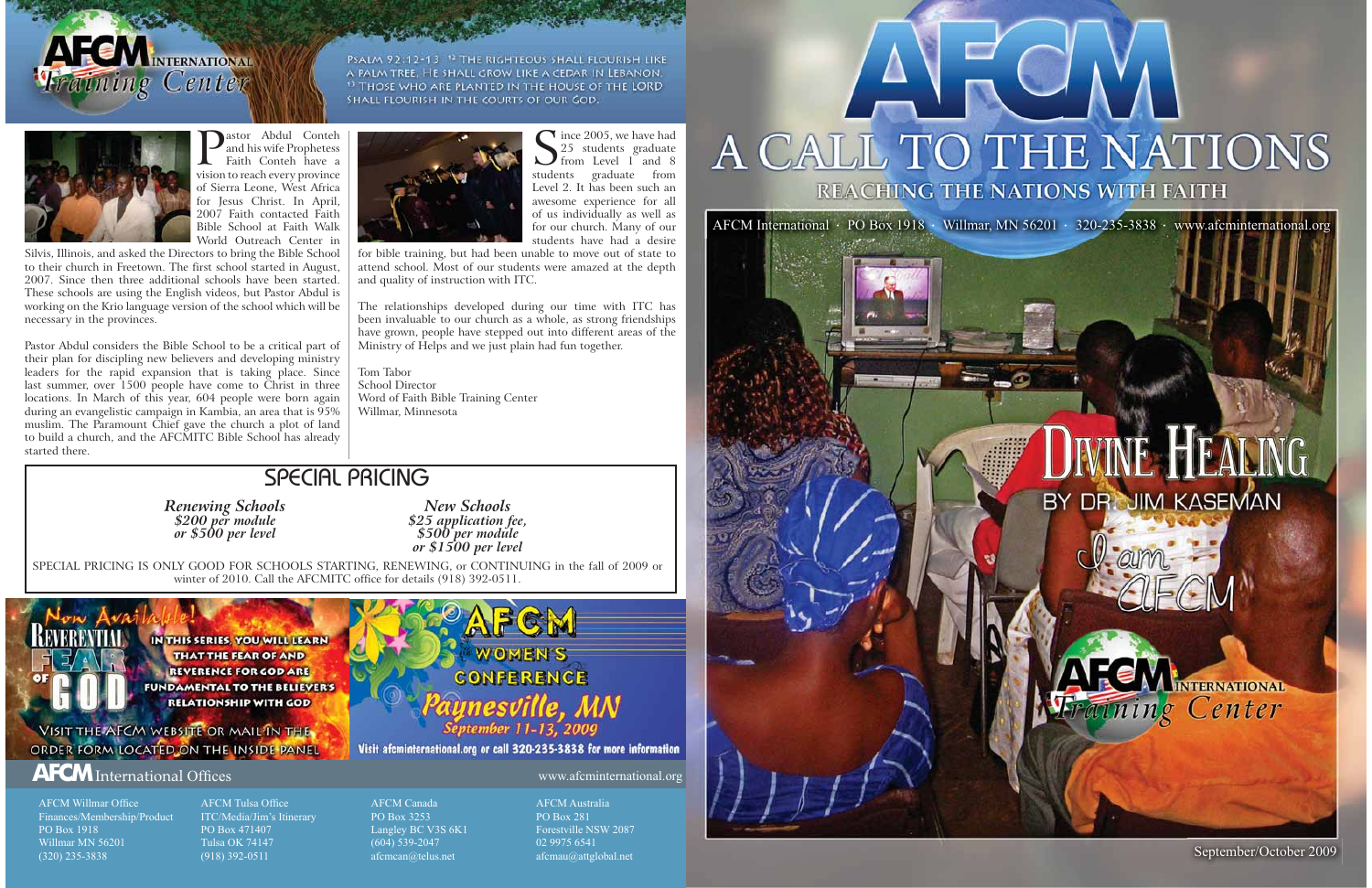

PSALM 92:12-13 <sup>12</sup> THE RIGHTEOUS SHALL FLOURISH LIKE A PALM TREE, HE SHALL GROW LIKE A CEDAR IN LEBANON. <sup>13</sup> THOSE WHO ARE PLANTED IN THE HOUSE OF THE LORD SHALL FLOURISH IN THE COURTS OF OUR GOD.





### HEALING BY DR. JIM KASEMAN





September/October 2009

**Pastor Abdul Conteh and his wife Prophetess** Faith Conteh have a vision to reach every province of Sierra Leone, West Africa for Jesus Christ. In April, 2007 Faith contacted Faith Bible School at Faith Walk World Outreach Center in

Silvis, Illinois, and asked the Directors to bring the Bible School to their church in Freetown. The first school started in August, 2007. Since then three additional schools have been started. These schools are using the English videos, but Pastor Abdul is working on the Krio language version of the school which will be necessary in the provinces.

AFCM Willmar Office Finances/Membership/Product PO Box 1918Willmar MN 56201(320) 235-3838

AFCM Tulsa Office ITC/Media/Jim's Itinerary PO Box 471407 Tulsa OK 74147(918) 392-0511

Since 2005, we have had<br> $\sum_{\text{from Level 1 and 8}}^{25}$ students graduate from Level 2. It has been such an awesome experience for all of us individually as well as for our church. Many of our students have had a desire

Pastor Abdul considers the Bible School to be a critical part of their plan for discipling new believers and developing ministry leaders for the rapid expansion that is taking place. Since last summer, over 1500 people have come to Christ in three locations. In March of this year, 604 people were born again during an evangelistic campaign in Kambia, an area that is 95% muslim. The Paramount Chief gave the church a plot of land to build a church, and the AFCMITC Bible School has already started there.



The relationships developed during our time with ITC has been invaluable to our church as a whole, as strong friendships have grown, people have stepped out into different areas of the Ministry of Helps and we just plain had fun together.

www.afcminternational.org

## A CALL TO THE NATIONS REACHING THE NATIONS WITH FAITH

AFCM CanadaPO Box 3253Langley BC V3S 6K1 (604) 539-2047 afcmcan@telus.net

AFCM AustraliaPO Box 281Forestville NSW 2087 02 9975 6541afcmau@attglobal.net

for bible training, but had been unable to move out of state to attend school. Most of our students were amazed at the depth and quality of instruction with ITC.

Tom TaborSchool DirectorWord of Faith Bible Training Center Willmar, Minnesota

#### SPECIAL PRICING

**Renewing Schools**<br>
\$200 per module **825** application fee,<br>
or \$500 per level<br>
or \$1500 per level<br>
or \$1500 per level

SPECIAL PRICING IS ONLY GOOD FOR SCHOOLS STARTING, RENEWING, or CONTINUING in the fall of 2009 or winter of 2010. Call the AFCMITC office for details (918) 392-0511.



#### **AFCM** International Offices